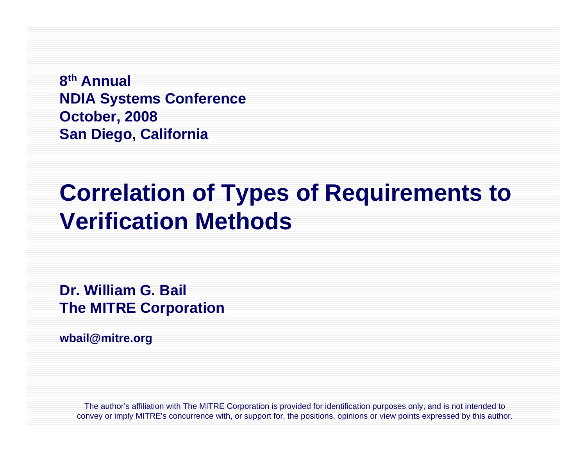**8th Annual NDIA Systems Conference October, 2008 San Diego, California**

# **Correlation of Types of Requirements to Verification Methods**

**Dr. William G. Bail The MITRE Corporation**

**wbail@mitre.org**

The author's affiliation with The MITRE Corporation is provided for identification purposes only, and is not intended to convey or imply MITRE's concurrence with, or support for, the positions, opinions or view points expressed by this author.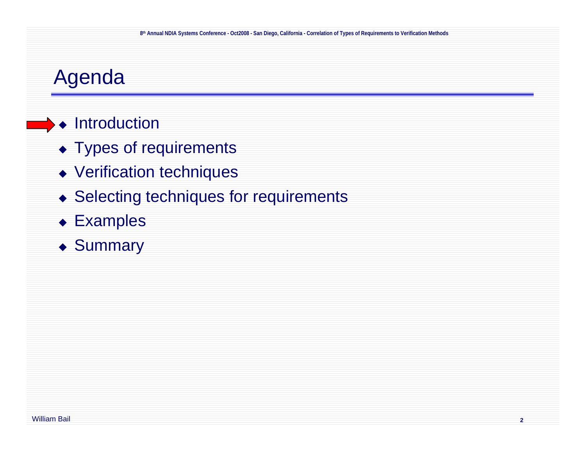### Agenda

#### ◆ Introduction

- ◆ Types of requirements
- Verification techniques
- ◆ Selecting techniques for requirements
- ◆ Examples
- ◆ Summary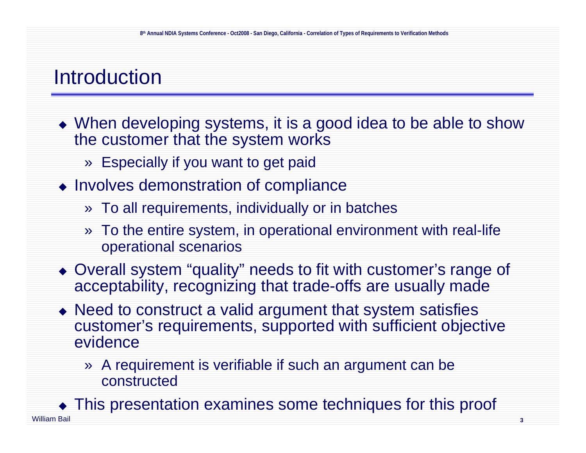#### Introduction

- When developing systems, it is a good idea to be able to show the customer that the system works
	- » Especially if you want to get paid
- $\bullet$  Involves demonstration of compliance
	- » To all requirements, individually or in batches
	- » To the entire system, in operational environment with real-life operational scenarios
- Overall system "quality" needs to fit with customer's range of acceptability, recognizing that trade-offs are usually made
- Need to construct a valid argument that system satisfies customer's requirements, supported with sufficient objective evidence
	- » A requirement is verifiable if such an argument can be constructed

William Bail **3**This presentation examines some techniques for this proof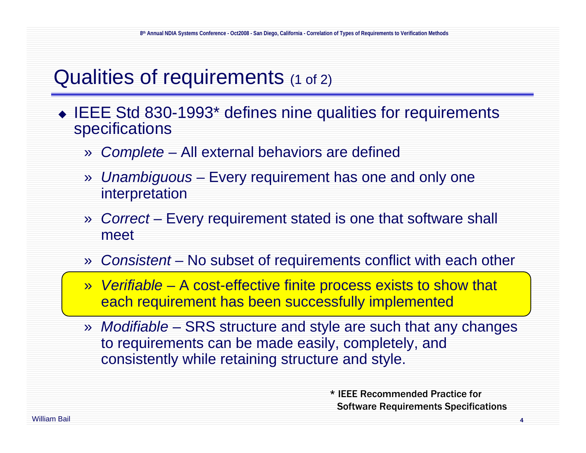# Qualities of requirements (1 of 2)

- IEEE Std 830-1993\* defines nine qualities for requirements specifications
	- » *Complete* All external behaviors are defined
	- » *Unambiguous* Every requirement has one and only one interpretation
	- » *Correct* – Every requirement stated is one that software shall meet
	- »*Consistent* – No subset of requirements conflict with each other
	- » *Verifiable* A cost-effective finite process exists to show that each requirement has been successfully implemented
	- » *Modifiable* SRS structure and style are such that any changes to requirements can be made easily, completely, and consistently while retaining structure and style.

\* IEEE Recommended Practice for Software Requirements Specifications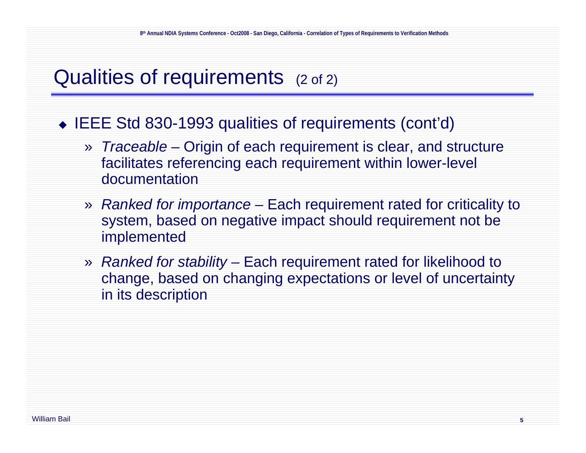# Qualities of requirements (2 of 2)

◆ IEEE Std 830-1993 qualities of requirements (cont'd)

- » *Traceable* Origin of each requirement is clear, and structure facilitates referencing each requirement within lower-level documentation
- » *Ranked for importance* Each requirement rated for criticality to system, based on negative impact should requirement not be implemented
- » *Ranked for stability* Each requirement rated for likelihood to change, based on changing expectations or level of uncertainty in its description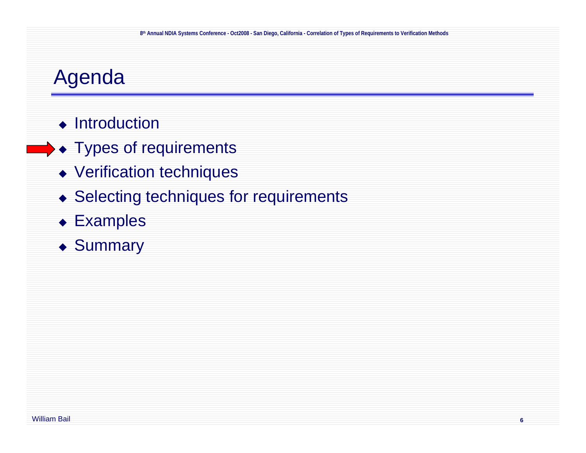# Agenda

- ◆ Introduction
- ◆ Types of requirements
	- Verification techniques
	- ◆ Selecting techniques for requirements
	- Examples
	- ◆ Summary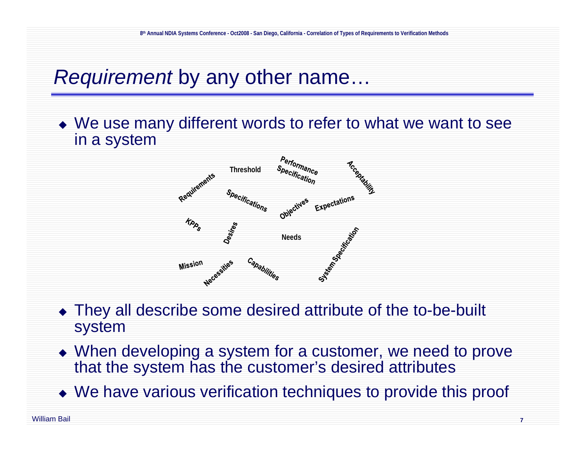### *Requirement* by any other name…

 We use many different words to refer to what we want to see in a system



- They all describe some desired attribute of the to-be-built system
- When developing a system for a customer, we need to prove that the system has the customer's desired attributes
- We have various verification techniques to provide this proof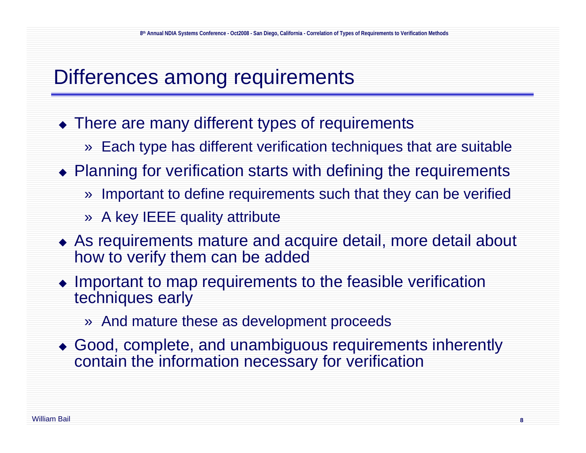#### Differences among requirements

- There are many different types of requirements
	- » Each type has different verification techniques that are suitable
- Planning for verification starts with defining the requirements
	- » Important to define requirements such that they can be verified
	- » A key IEEE quality attribute
- As requirements mature and acquire detail, more detail about how to verify them can be added
- Important to map requirements to the feasible verification techniques early
	- » And mature these as development proceeds
- Good, complete, and unambiguous requirements inherently contain the information necessary for verification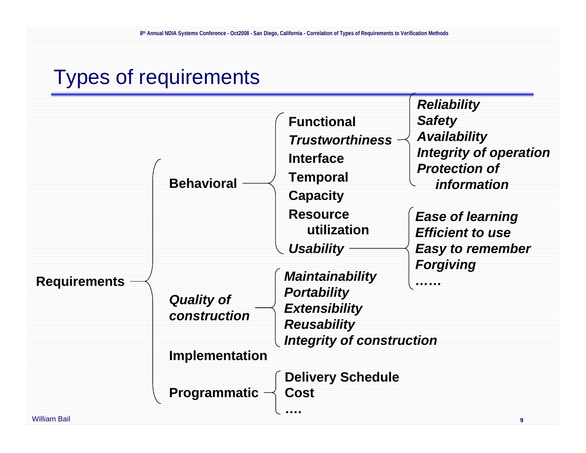# Types of requirements

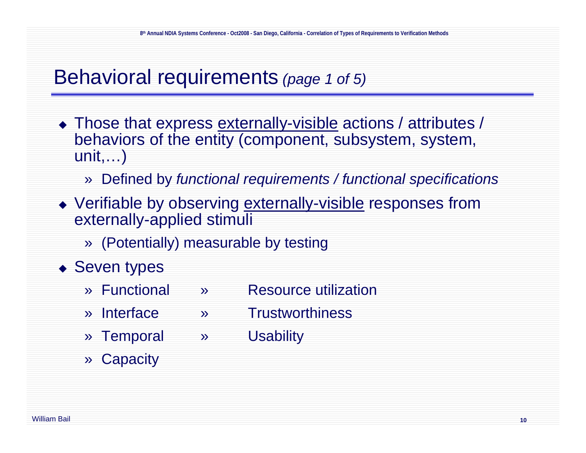#### Behavioral requirements *(page 1 of 5)*

- $\bullet$  Those that express  $\overline{\text{externally-visible}}$  actions / attributes / behaviors of the entity (component, subsystem, system, unit,…)
	- » Defined by *functional requirements / functional specifications*
- Verifiable by observing externally-visible responses from externally-applied stimuli
	- » (Potentially) measurable by testing
- ◆ Seven types
	- » Functional » Resource utilization
	- » Interface » Trustworthiness
	- » Temporal » Usability
	- » Capacity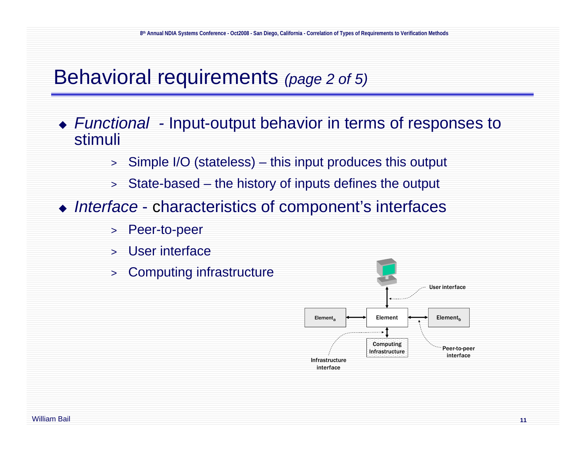#### Behavioral requirements *(page 2 of 5)*

- *Functional -* Input-output behavior in terms of responses to stimuli
	- > Simple I/O (stateless) this input produces this output
	- > State-based the history of inputs defines the output
- *Interface* characteristics of component's interfaces
	- > Peer-to-peer
	- > User interface
	- > Computing infrastructure

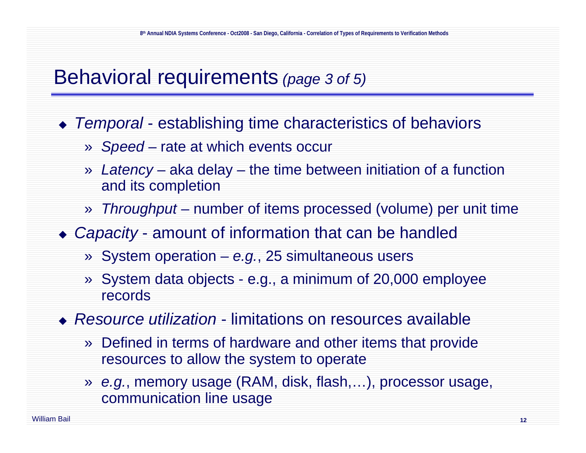#### Behavioral requirements *(page 3 of 5)*

- *Temporal* establishing time characteristics of behaviors
	- » *Speed* rate at which events occur
	- » *Latency* aka delay the time between initiation of a function and its completion
	- » *Throughput* number of items processed (volume) per unit time
- *Capacity* amount of information that can be handled
	- » System operation *e.g.*, 25 simultaneous users
	- » System data objects e.g., a minimum of 20,000 employee records
- *Resource utilization* limitations on resources available
	- » Defined in terms of hardware and other items that provide resources to allow the system to operate
	- » *e.g.*, memory usage (RAM, disk, flash,…), processor usage, communication line usage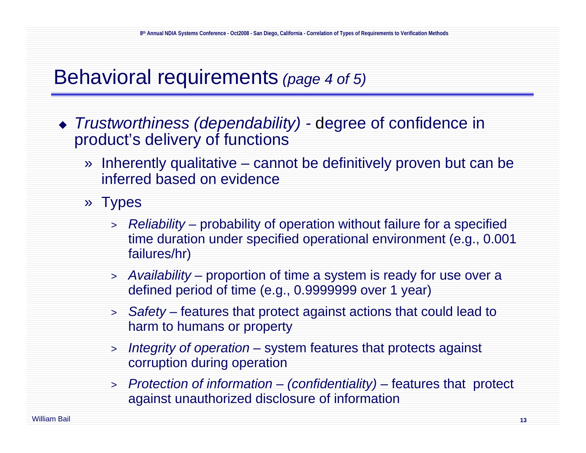#### Behavioral requirements *(page 4 of 5)*

- *Trustworthiness (dependability) -* degree of confidence in product's delivery of functions
	- » Inherently qualitative cannot be definitively proven but can be inferred based on evidence
	- » Types
		- > *Reliability –* probability of operation without failure for a specified time duration under specified operational environment (e.g., 0.001 failures/hr)
		- > *Availability –* proportion of time a system is ready for use over a defined period of time (e.g., 0.9999999 over 1 year)
		- > *Safety –* features that protect against actions that could lead to harm to humans or property
		- > *Integrity of operation –* system features that protects against corruption during operation
		- > *Protection of information – (confidentiality) –* features that protect against unauthorized disclosure of information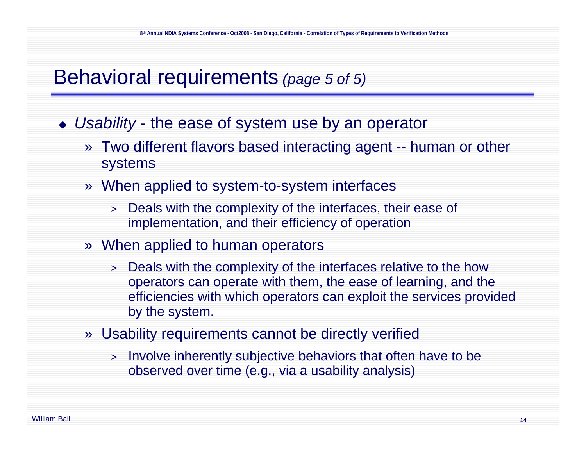#### Behavioral requirements *(page 5 of 5)*

- *Usability* the ease of system use by an operator
	- » Two different flavors based interacting agent -- human or other systems
	- » When applied to system-to-system interfaces
		- > Deals with the complexity of the interfaces, their ease of implementation, and their efficiency of operation
	- » When applied to human operators
		- > Deals with the complexity of the interfaces relative to the how operators can operate with them, the ease of learning, and the efficiencies with which operators can exploit the services provided by the system.
	- » Usability requirements cannot be directly verified
		- > Involve inherently subjective behaviors that often have to be observed over time (e.g., via a usability analysis)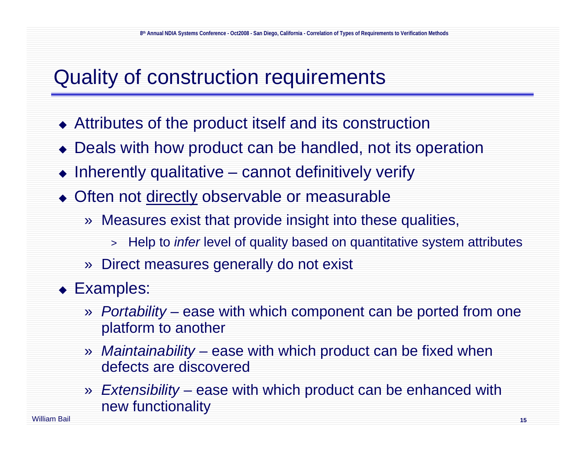### Quality of construction requirements

- Attributes of the product itself and its construction
- Deals with how product can be handled, not its operation
- $\bullet$  Inherently qualitative cannot definitively verify
- Often not directly observable or measurable
	- » Measures exist that provide insight into these qualities,
		- > Help to *infer* level of quality based on quantitative system attributes
	- » Direct measures generally do not exist
- ◆ Examples:
	- » *Portability* ease with which component can be ported from one platform to another
	- » *Maintainability* – ease with which product can be fixed when defects are discovered
	- » *Extensibility* ease with which product can be enhanced with new functionality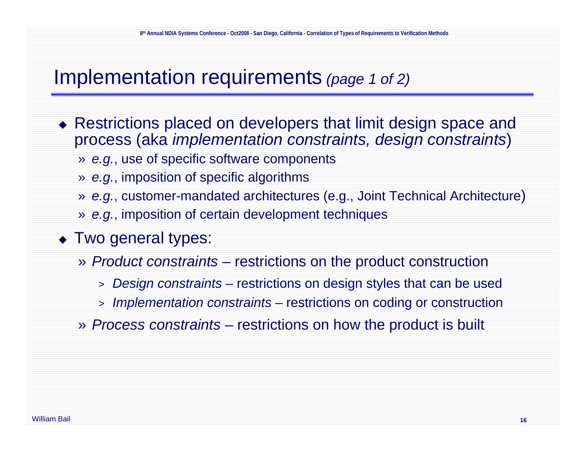#### Implementation requirements *(page 1 of 2)*

- Restrictions placed on developers that limit design space and process (aka *implementation constraints, design constraints*)
	- » *e.g.*, use of specific software components
	- » *e.g.*, imposition of specific algorithms
	- » *e.g.*, customer-mandated architectures (e.g., Joint Technical Architecture)
	- » *e.g.*, imposition of certain development techniques
- ◆ Two general types:
	- » *Product constraints* restrictions on the product construction
		- > *Design constraints* restrictions on design styles that can be used
		- > *Implementation constraints* restrictions on coding or construction
	- » *Process constraints* restrictions on how the product is built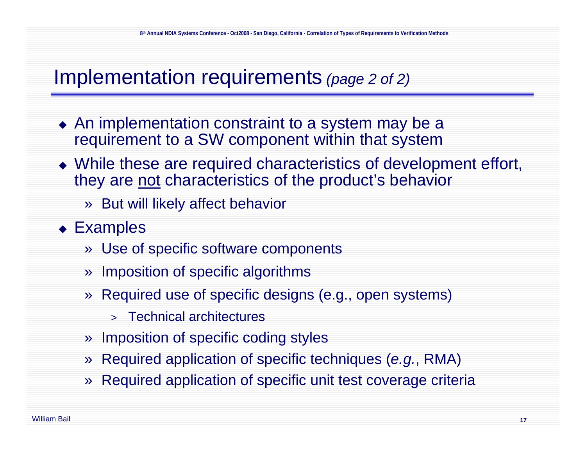#### Implementation requirements *(page 2 of 2)*

- An implementation constraint to a system may be a requirement to a SW component within that system
- While these are required characteristics of development effort, they are not characteristics of the product's behavior
	- » But will likely affect behavior
- Examples
	- » Use of specific software components
	- » Imposition of specific algorithms
	- » Required use of specific designs (e.g., open systems)
		- > Technical architectures
	- » Imposition of specific coding styles
	- » Required application of specific techniques (*e.g.*, RMA)
	- » Required application of specific unit test coverage criteria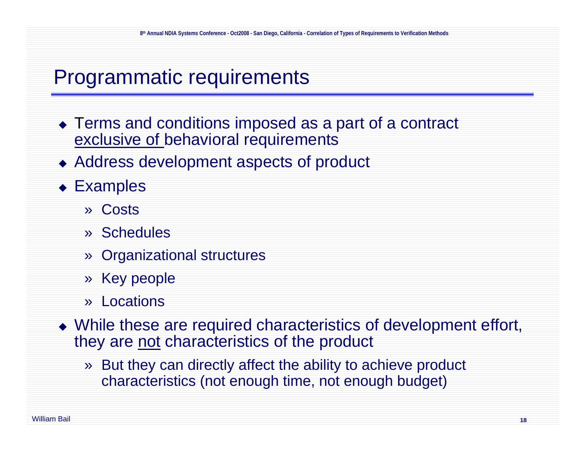#### Programmatic requirements

- ◆ Terms and conditions imposed as a part of a contract exclusive of behavioral requirements
- Address development aspects of product
- ◆ Examples
	- » Costs
	- » Schedules
	- » Organizational structures
	- » Key people
	- » Locations
- While these are required characteristics of development effort, they are not characteristics of the product
	- » But they can directly affect the ability to achieve product characteristics (not enough time, not enough budget)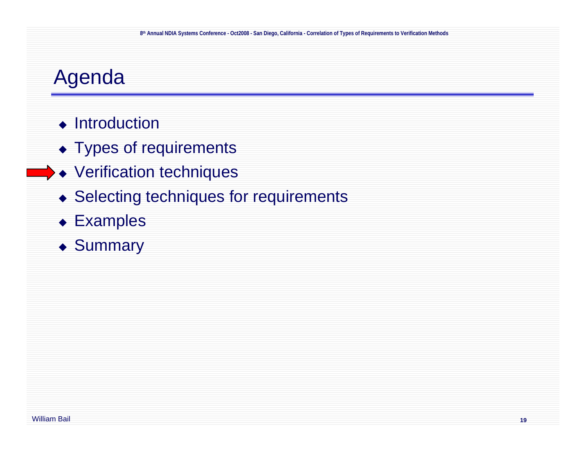### Agenda

- ◆ Introduction
- ◆ Types of requirements
- Verification techniques
- ◆ Selecting techniques for requirements
- Examples
- ◆ Summary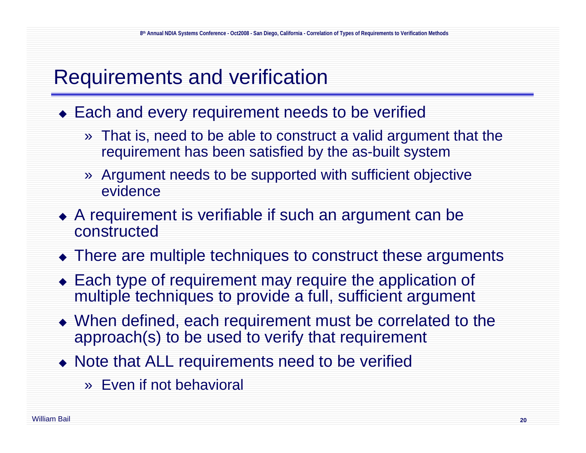### Requirements and verification

- ◆ Each and every requirement needs to be verified
	- » That is, need to be able to construct a valid argument that the requirement has been satisfied by the as-built system
	- » Argument needs to be supported with sufficient objective evidence
- A requirement is verifiable if such an argument can be constructed
- There are multiple techniques to construct these arguments
- Each type of requirement may require the application of multiple techniques to provide a full, sufficient argument
- When defined, each requirement must be correlated to the approach(s) to be used to verify that requirement
- Note that ALL requirements need to be verified
	- » Even if not behavioral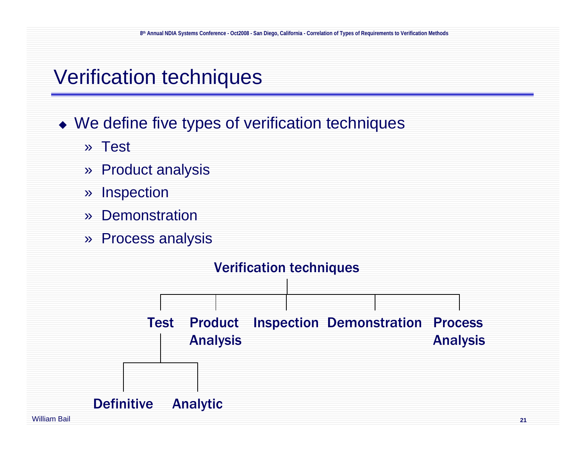#### Verification techniques

#### • We define five types of verification techniques

- » Test
- » Product analysis
- »Inspection
- »**Demonstration**
- » Process analysis

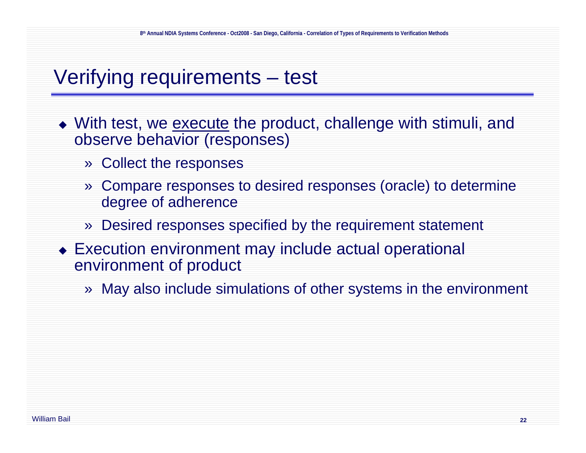# Verifying requirements – test

- $\bullet\,$  With test, we <u>execute</u> the product, challenge with stimuli, and observe behavior (responses)
	- » Collect the responses
	- » Compare responses to desired responses (oracle) to determine degree of adherence
	- » Desired responses specified by the requirement statement
- Execution environment may include actual operational environment of product
	- » May also include simulations of other systems in the environment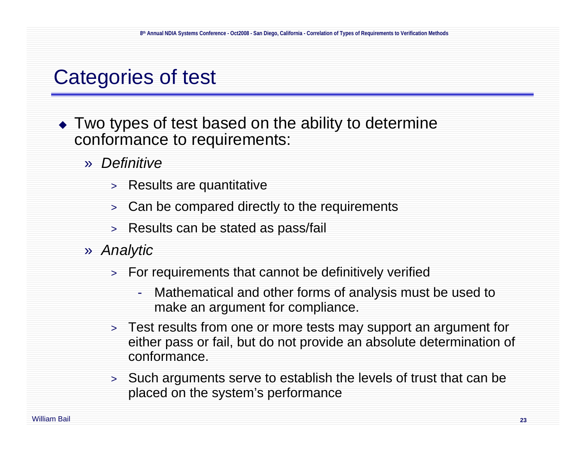### Categories of test

- Two types of test based on the ability to determine conformance to requirements:
	- » *Definitive*
		- > Results are quantitative
		- > Can be compared directly to the requirements
		- > Results can be stated as pass/fail
	- » *Analytic*
		- > For requirements that cannot be definitively verified
			- - Mathematical and other forms of analysis must be used to make an argument for compliance.
		- > Test results from one or more tests may support an argument for either pass or fail, but do not provide an absolute determination of conformance.
		- > Such arguments serve to establish the levels of trust that can be placed on the system's performance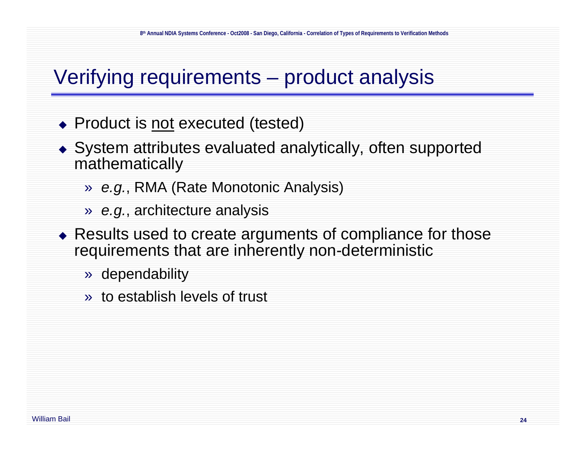# Verifying requirements – product analysis

- ◆ Product is <u>not</u> executed (tested)
- System attributes evaluated analytically, often supported mathematically
	- » *e.g.*, RMA (Rate Monotonic Analysis)
	- » *e.g.*, architecture analysis
- Results used to create arguments of compliance for those requirements that are inherently non-deterministic
	- » dependability
	- » to establish levels of trust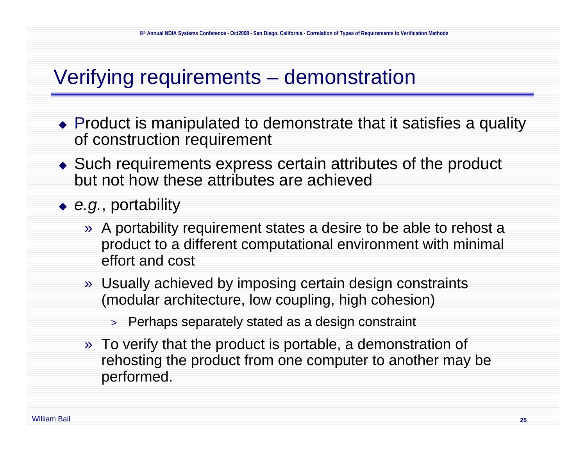# Verifying requirements – demonstration

- Product is manipulated to demonstrate that it satisfies a quality of construction requirement
- Such requirements express certain attributes of the product but not how these attributes are achieved

*e.g.*, portability

- » A portability requirement states a desire to be able to rehost a product to a different computational environment with minimal effort and cost
- » Usually achieved by imposing certain design constraints (modular architecture, low coupling, high cohesion)
	- > Perhaps separately stated as a design constraint
- » To verify that the product is portable, a demonstration of rehosting the product from one computer to another may be performed.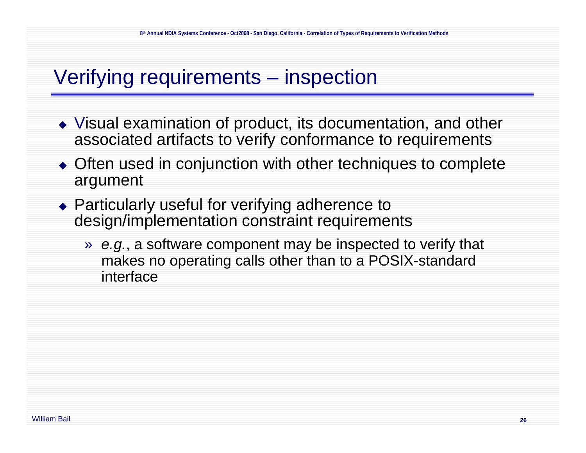# Verifying requirements – inspection

- Visual examination of product, its documentation, and other associated artifacts to verify conformance to requirements
- ◆ Often used in conjunction with other techniques to complete argument
- ◆ Particularly useful for verifying adherence to design/implementation constraint requirements
	- » *e.g.*, a software component may be inspected to verify that makes no operating calls other than to a POSIX-standard interface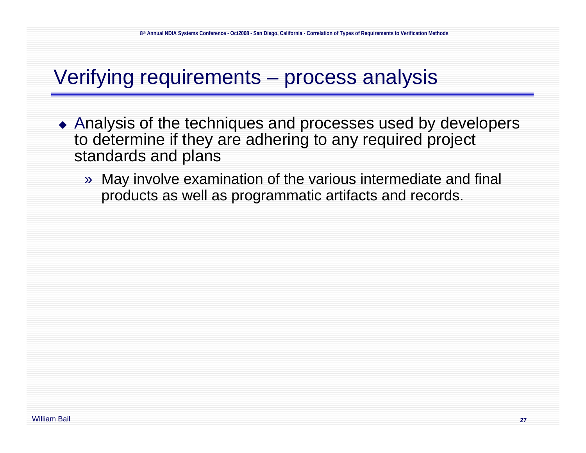#### Verifying requirements – process analysis

- Analysis of the techniques and processes used by developers to determine if they are adhering to any required project standards and plans
	- » May involve examination of the various intermediate and final products as well as programmatic artifacts and records.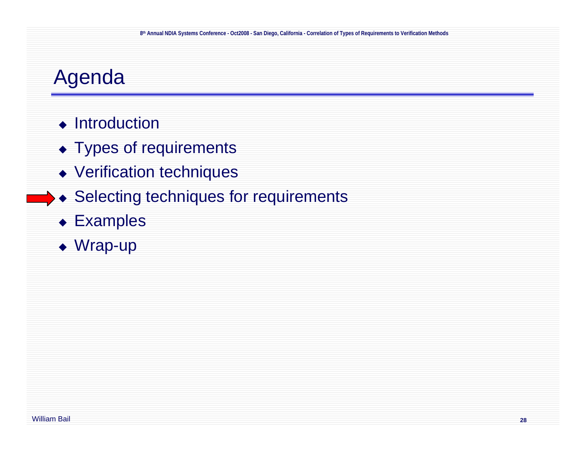### Agenda

- ◆ Introduction
- ◆ Types of requirements
- Verification techniques
- ◆ Selecting techniques for requirements
	- Examples
	- ◆ Wrap-up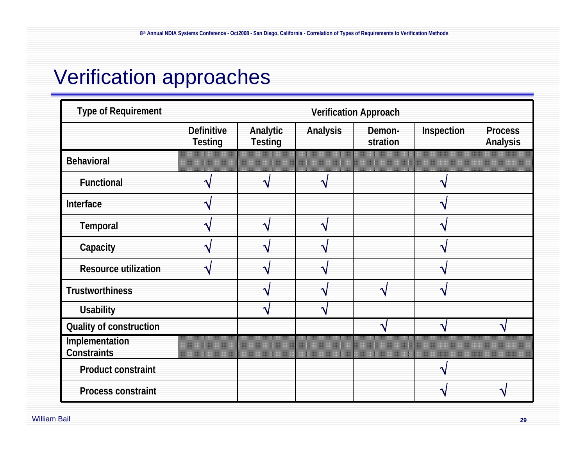# Verification approaches

| <b>Type of Requirement</b>    | <b>Verification Approach</b>        |                            |          |                    |            |                            |
|-------------------------------|-------------------------------------|----------------------------|----------|--------------------|------------|----------------------------|
|                               | <b>Definitive</b><br><b>Testing</b> | Analytic<br><b>Testing</b> | Analysis | Demon-<br>stration | Inspection | <b>Process</b><br>Analysis |
| <b>Behavioral</b>             |                                     |                            | _____    |                    |            |                            |
| Functional                    |                                     | ヘ                          |          |                    |            |                            |
| Interface                     |                                     |                            |          |                    |            |                            |
| Temporal                      |                                     | $\overline{\mathbf{A}}$    |          |                    |            |                            |
| Capacity                      |                                     | ٨                          |          |                    |            |                            |
| <b>Resource utilization</b>   |                                     | ≺                          |          |                    |            |                            |
| <b>Trustworthiness</b>        |                                     | Ä                          |          |                    |            |                            |
| <b>Usability</b>              |                                     | ヘ                          |          |                    |            |                            |
| Quality of construction       |                                     |                            |          |                    |            |                            |
| Implementation<br>Constraints |                                     |                            | ▥        |                    |            |                            |
| Product constraint            |                                     |                            |          |                    |            |                            |
| Process constraint            |                                     |                            |          |                    |            |                            |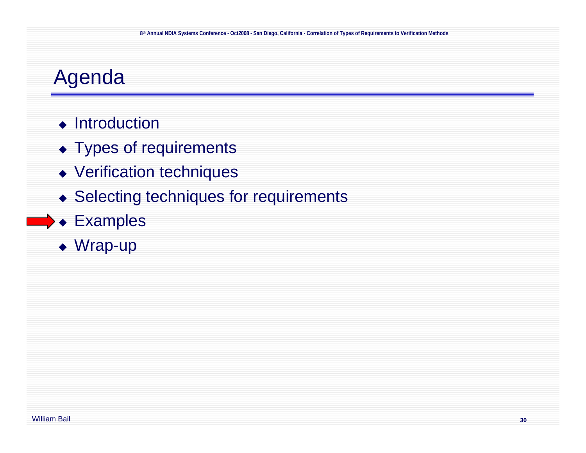### Agenda

- ◆ Introduction
- ◆ Types of requirements
- Verification techniques
- ◆ Selecting techniques for requirements
- Examples
	- ◆ Wrap-up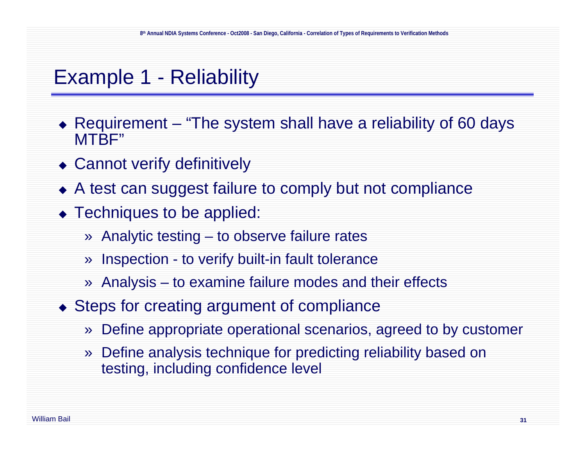#### Example 1 - Reliability

- ◆ Requirement "The system shall have a reliability of 60 days MTBF"
- Cannot verify definitively
- A test can suggest failure to comply but not compliance
- ◆ Techniques to be applied:
	- » Analytic testing to observe failure rates
	- » Inspection to verify built-in fault tolerance
	- » Analysis to examine failure modes and their effects
- ◆ Steps for creating argument of compliance
	- »Define appropriate operational scenarios, agreed to by customer
	- » Define analysis technique for predicting reliability based on testing, including confidence level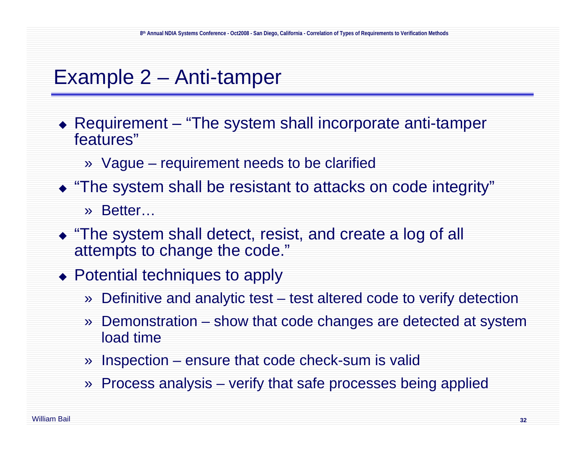#### Example 2 – Anti-tamper

- ◆ Requirement "The system shall incorporate anti-tamper features"
	- » Vague requirement needs to be clarified
- "The system shall be resistant to attacks on code integrity" » Better…
- "The system shall detect, resist, and create a log of all attempts to change the code."
- ◆ Potential techniques to apply
	- » Definitive and analytic test test altered code to verify detection
	- » Demonstration – show that code changes are detected at system load time
	- » Inspection ensure that code check-sum is valid
	- » Process analysis verify that safe processes being applied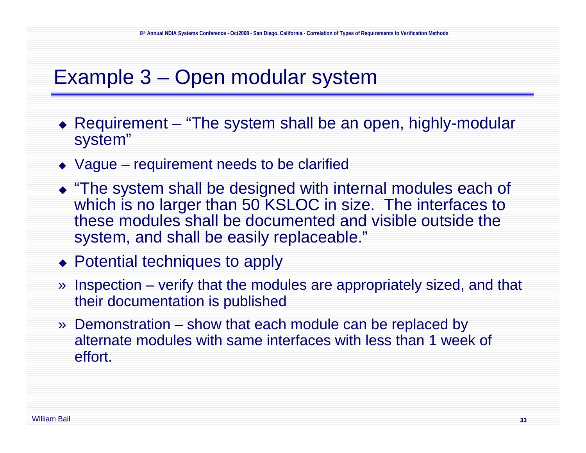#### Example 3 – Open modular system

- ◆ Requirement "The system shall be an open, highly-modular system"
- ◆ Vague requirement needs to be clarified
- "The system shall be designed with internal modules each of which is no larger than 50 KSLOC in size. The interfaces to these modules shall be documented and visible outside the system, and shall be easily replaceable."
- ◆ Potential techniques to apply
- » Inspection verify that the modules are appropriately sized, and that their documentation is published
- » Demonstration show that each module can be replaced by alternate modules with same interfaces with less than 1 week of effort.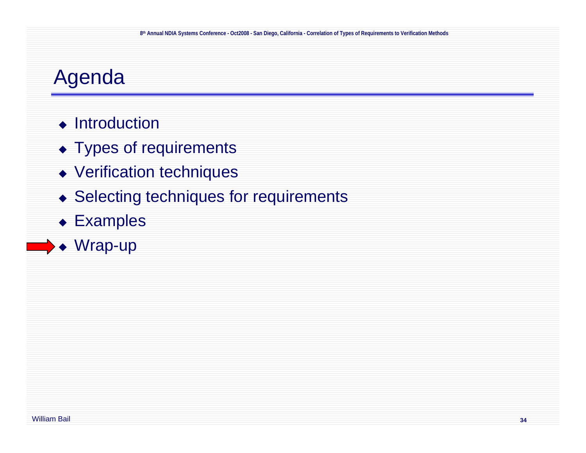### Agenda

- ◆ Introduction
- ◆ Types of requirements
- Verification techniques
- ◆ Selecting techniques for requirements
- Examples
- ◆ Wrap-up